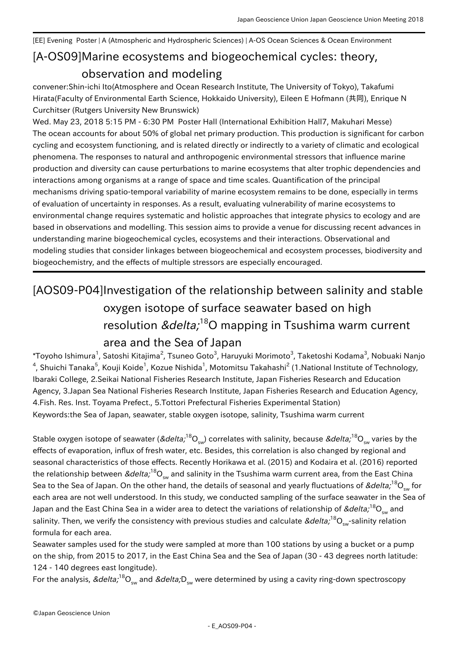## [A-OS09] Marine ecosystems and biogeochemical cycles: theory, [EE] Evening Poster | A (Atmospheric and Hydrospheric Sciences) | A-OS Ocean Sciences & Ocean Environment observation and modeling

convener:Shin-ichi Ito(Atmosphere and Ocean Research Institute, The University of Tokyo), Takafumi Hirata(Faculty of Environmental Earth Science, Hokkaido University), Eileen E Hofmann (共同), Enrique N Curchitser (Rutgers University New Brunswick)

Wed. May 23, 2018 5:15 PM - 6:30 PM Poster Hall (International Exhibition Hall7, Makuhari Messe) The ocean accounts for about 50% of global net primary production. This production is significant for carbon cycling and ecosystem functioning, and is related directly or indirectly to a variety of climatic and ecological phenomena. The responses to natural and anthropogenic environmental stressors that influence marine production and diversity can cause perturbations to marine ecosystems that alter trophic dependencies and interactions among organisms at a range of space and time scales. Quantification of the principal mechanisms driving spatio-temporal variability of marine ecosystem remains to be done, especially in terms of evaluation of uncertainty in responses. As a result, evaluating vulnerability of marine ecosystems to environmental change requires systematic and holistic approaches that integrate physics to ecology and are based in observations and modelling. This session aims to provide a venue for discussing recent advances in understanding marine biogeochemical cycles, ecosystems and their interactions. Observational and modeling studies that consider linkages between biogeochemical and ecosystem processes, biodiversity and biogeochemistry, and the effects of multiple stressors are especially encouraged.

## [AOS09-P04] Investigation of the relationship between salinity and stable oxygen isotope of surface seawater based on high resolution *δ*<sup>18</sup>O mapping in Tsushima warm current area and the Sea of Japan

 $^\ast$ Toyoho Ishimura<sup>1</sup>, Satoshi Kitajima<sup>2</sup>, Tsuneo Goto<sup>3</sup>, Haruyuki Morimoto<sup>3</sup>, Taketoshi Kodama<sup>3</sup>, Nobuaki Nanjo  $^4$ , Shuichi Tanaka $^5$ , Kouji Koide $^1$ , Kozue Nishida $^1$ , Motomitsu Takahashi $^2$  (1.National Institute of Technology, Ibaraki College, 2.Seikai National Fisheries Research Institute, Japan Fisheries Research and Education Agency, 3.Japan Sea National Fisheries Research Institute, Japan Fisheries Research and Education Agency, 4.Fish. Res. Inst. Toyama Prefect., 5.Tottori Prefectural Fisheries Experimental Station) Keywords:the Sea of Japan, seawater, stable oxygen isotope, salinity, Tsushima warm current

Stable oxygen isotope of seawater (*δ* <sup>18</sup>O<sub>sw</sub>) correlates with salinity, because *δ* <sup>18</sup>O<sub>sw</sub> varies by the effects of evaporation, influx of fresh water, etc. Besides, this correlation is also changed by regional and seasonal characteristics of those effects. Recently Horikawa et al. (2015) and Kodaira et al. (2016) reported the relationship between *δ*  $^{18} \rm O_{_{\rm sw}}$  and salinity in the Tsushima warm current area, from the East China Sea to the Sea of Japan. On the other hand, the details of seasonal and yearly fluctuations of δ $^{18}$ O $_{_{\rm sw}}$  for each area are not well understood. In this study, we conducted sampling of the surface seawater in the Sea of Japan and the East China Sea in a wider area to detect the variations of relationship of  $\δ, ^{18}O_{_{\text{sw}}}$  and salinity. Then, we verify the consistency with previous studies and calculate  $\δ_i^{18}O_{_{\rm SW}}$ -salinity relation formula for each area.

Seawater samples used for the study were sampled at more than 100 stations by using a bucket or a pump on the ship, from 2015 to 2017, in the East China Sea and the Sea of Japan (30 - 43 degrees north latitude: 124 - 140 degrees east longitude).

For the analysis, δ $^{18} \rm O_{_{\rm sw}}$  and δD $_{\rm sw}$  were determined by using a cavity ring-down spectroscopy